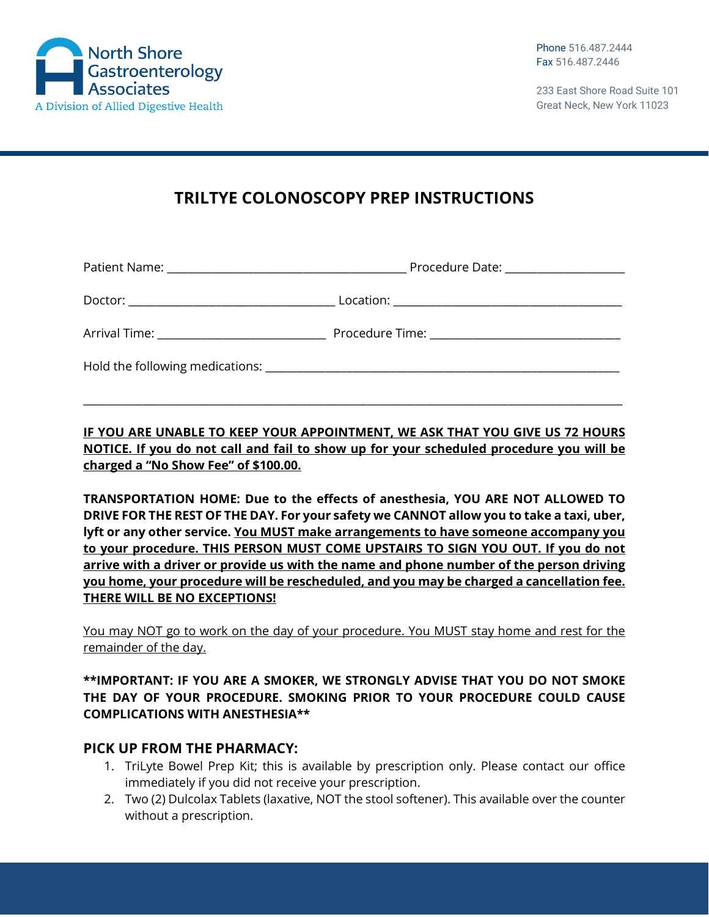

233 East Shore Road Suite 101 Great Neck, New York 11023

# **TRILTYE COLONOSCOPY PREP INSTRUCTIONS**

| Procedure Date: _____________________ |
|---------------------------------------|
|                                       |
|                                       |
|                                       |

**IF YOU ARE UNABLE TO KEEP YOUR APPOINTMENT, WE ASK THAT YOU GIVE US 72 HOURS NOTICE. If you do not call and fail to show up for your scheduled procedure you will be charged a "No Show Fee" of \$100.00.**

\_\_\_\_\_\_\_\_\_\_\_\_\_\_\_\_\_\_\_\_\_\_\_\_\_\_\_\_\_\_\_\_\_\_\_\_\_\_\_\_\_\_\_\_\_\_\_\_\_\_\_\_\_\_\_\_\_\_\_\_\_\_\_\_\_\_\_\_\_\_\_\_\_\_\_\_\_\_\_\_\_\_\_\_\_\_\_\_\_\_\_\_\_\_\_\_\_\_\_

**TRANSPORTATION HOME: Due to the effects of anesthesia, YOU ARE NOT ALLOWED TO DRIVE FOR THE REST OF THE DAY. For your safety we CANNOT allow you to take a taxi, uber, lyft or any other service. You MUST make arrangements to have someone accompany you to your procedure. THIS PERSON MUST COME UPSTAIRS TO SIGN YOU OUT. If you do not arrive with a driver or provide us with the name and phone number of the person driving you home, your procedure will be rescheduled, and you may be charged a cancellation fee. THERE WILL BE NO EXCEPTIONS!**

You may NOT go to work on the day of your procedure. You MUST stay home and rest for the remainder of the day.

#### **\*\*IMPORTANT: IF YOU ARE A SMOKER, WE STRONGLY ADVISE THAT YOU DO NOT SMOKE THE DAY OF YOUR PROCEDURE. SMOKING PRIOR TO YOUR PROCEDURE COULD CAUSE COMPLICATIONS WITH ANESTHESIA\*\***

#### **PICK UP FROM THE PHARMACY:**

- 1. TriLyte Bowel Prep Kit; this is available by prescription only. Please contact our office immediately if you did not receive your prescription.
- 2. Two (2) Dulcolax Tablets (laxative, NOT the stool softener). This available over the counter without a prescription.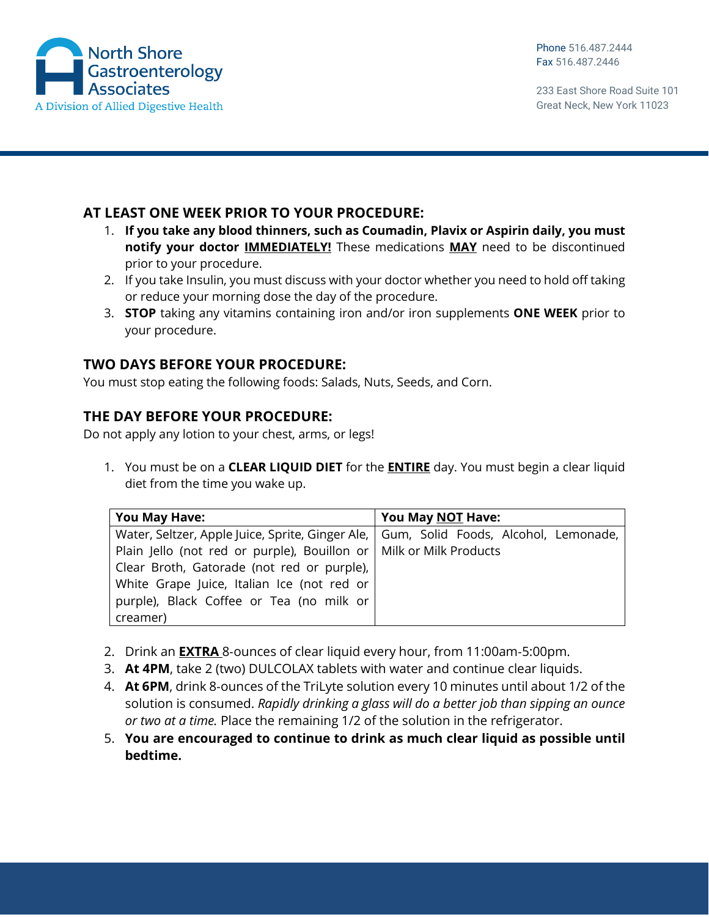

233 East Shore Road Suite 101 Great Neck, New York 11023

### **AT LEAST ONE WEEK PRIOR TO YOUR PROCEDURE:**

- 1. **If you take any blood thinners, such as Coumadin, Plavix or Aspirin daily, you must notify your doctor IMMEDIATELY!** These medications **MAY** need to be discontinued prior to your procedure.
- 2. If you take Insulin, you must discuss with your doctor whether you need to hold off taking or reduce your morning dose the day of the procedure.
- 3. **STOP** taking any vitamins containing iron and/or iron supplements **ONE WEEK** prior to your procedure.

### **TWO DAYS BEFORE YOUR PROCEDURE:**

You must stop eating the following foods: Salads, Nuts, Seeds, and Corn.

#### **THE DAY BEFORE YOUR PROCEDURE:**

Do not apply any lotion to your chest, arms, or legs!

1. You must be on a **CLEAR LIQUID DIET** for the **ENTIRE** day. You must begin a clear liquid diet from the time you wake up.

| You May Have:                                                                           | You May NOT Have: |
|-----------------------------------------------------------------------------------------|-------------------|
| Water, Seltzer, Apple Juice, Sprite, Ginger Ale,   Gum, Solid Foods, Alcohol, Lemonade, |                   |
| Plain Jello (not red or purple), Bouillon or   Milk or Milk Products                    |                   |
| Clear Broth, Gatorade (not red or purple),                                              |                   |
| White Grape Juice, Italian Ice (not red or                                              |                   |
| purple), Black Coffee or Tea (no milk or                                                |                   |
| creamer)                                                                                |                   |

- 2. Drink an **EXTRA** 8‐ounces of clear liquid every hour, from 11:00am‐5:00pm.
- 3. **At 4PM**, take 2 (two) DULCOLAX tablets with water and continue clear liquids.
- 4. **At 6PM**, drink 8‐ounces of the TriLyte solution every 10 minutes until about 1/2 of the solution is consumed. *Rapidly drinking a glass will do a better job than sipping an ounce or two at a time.* Place the remaining 1/2 of the solution in the refrigerator.
- 5. **You are encouraged to continue to drink as much clear liquid as possible until bedtime.**